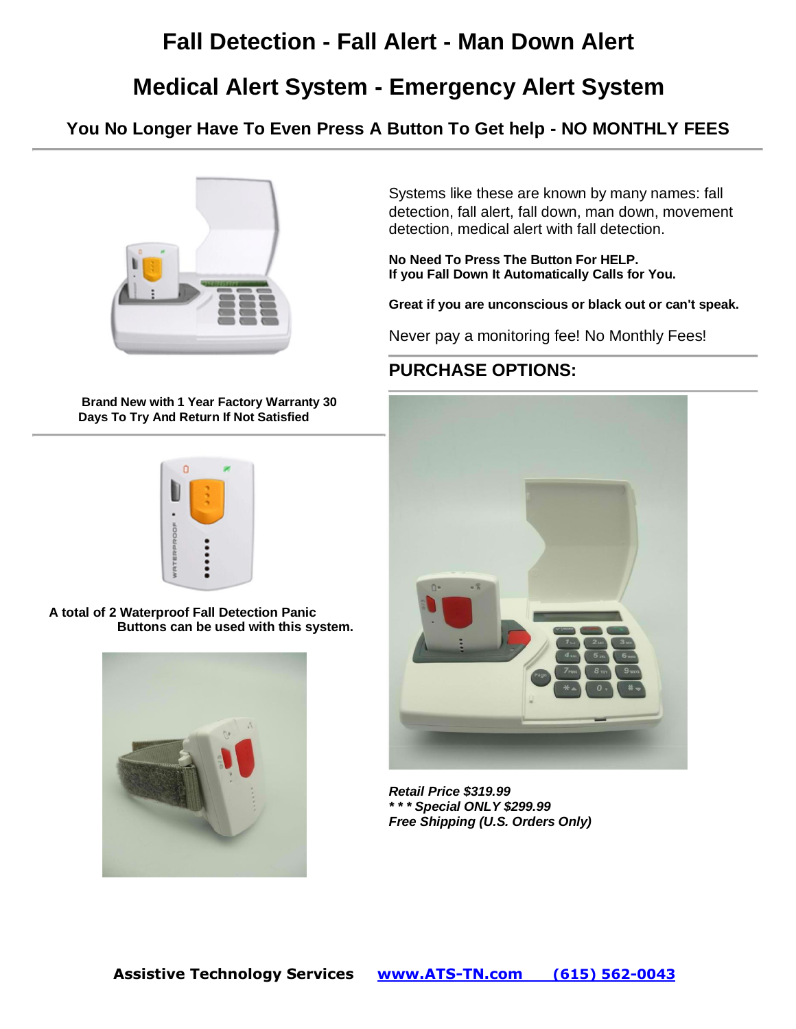# **Fall Detection - Fall Alert - Man Down Alert**

## **Medical Alert System - Emergency Alert System**

**You No Longer Have To Even Press A Button To Get help - NO MONTHLY FEES**



**Brand New with 1 Year Factory Warranty 30 Days To Try And Return If Not Satisfied**



**A total of 2 Waterproof Fall Detection Panic Buttons can be used with this system.**



Systems like these are known by many names: fall detection, fall alert, fall down, man down, movement detection, medical alert with fall detection.

**No Need To Press The Button For HELP. If you Fall Down It Automatically Calls for You.**

**Great if you are unconscious or black out or can't speak.**

Never pay a monitoring fee! No Monthly Fees!

### **PURCHASE OPTIONS:**



*Retail Price \$319.99 \* \* \* Special ONLY \$299.99 Free Shipping (U.S. Orders Only)*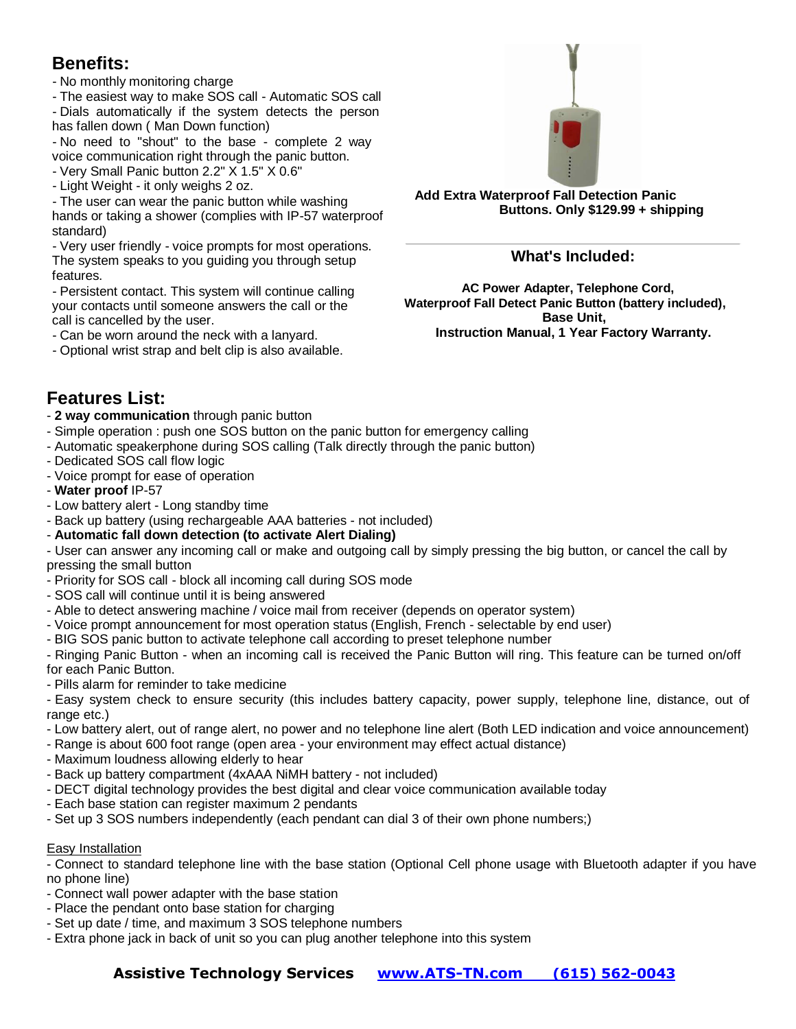### **Benefits:**

- No monthly monitoring charge

- The easiest way to make SOS call - Automatic SOS call - Dials automatically if the system detects the person has fallen down ( Man Down function)

- No need to "shout" to the base - complete 2 way voice communication right through the panic button.

- Very Small Panic button 2.2" X 1.5" X 0.6"

- Light Weight - it only weighs 2 oz.

- The user can wear the panic button while washing hands or taking a shower (complies with IP-57 waterproof standard)

- Very user friendly - voice prompts for most operations. The system speaks to you guiding you through setup features.

- Persistent contact. This system will continue calling your contacts until someone answers the call or the call is cancelled by the user.

- Can be worn around the neck with a lanyard.

- Optional wrist strap and belt clip is also available.



**Add Extra Waterproof Fall Detection Panic Buttons. Only \$129.99 + shipping**

#### **What's Included:**

**AC Power Adapter, Telephone Cord, Waterproof Fall Detect Panic Button (battery included), Base Unit, Instruction Manual, 1 Year Factory Warranty.**

### **Features List:**

- **2 way communication** through panic button

- Simple operation : push one SOS button on the panic button for emergency calling
- Automatic speakerphone during SOS calling (Talk directly through the panic button)
- Dedicated SOS call flow logic
- Voice prompt for ease of operation
- **Water proof** IP-57
- Low battery alert Long standby time
- Back up battery (using rechargeable AAA batteries not included)

#### - **Automatic fall down detection (to activate Alert Dialing)**

- User can answer any incoming call or make and outgoing call by simply pressing the big button, or cancel the call by pressing the small button

- Priority for SOS call block all incoming call during SOS mode
- SOS call will continue until it is being answered
- Able to detect answering machine / voice mail from receiver (depends on operator system)
- Voice prompt announcement for most operation status (English, French selectable by end user)
- BIG SOS panic button to activate telephone call according to preset telephone number

- Ringing Panic Button - when an incoming call is received the Panic Button will ring. This feature can be turned on/off for each Panic Button.

- Pills alarm for reminder to take medicine

- Easy system check to ensure security (this includes battery capacity, power supply, telephone line, distance, out of range etc.)

- Low battery alert, out of range alert, no power and no telephone line alert (Both LED indication and voice announcement)
- Range is about 600 foot range (open area your environment may effect actual distance)
- Maximum loudness allowing elderly to hear
- Back up battery compartment (4xAAA NiMH battery not included)
- DECT digital technology provides the best digital and clear voice communication available today
- Each base station can register maximum 2 pendants
- Set up 3 SOS numbers independently (each pendant can dial 3 of their own phone numbers;)

#### Easy Installation

- Connect to standard telephone line with the base station (Optional Cell phone usage with Bluetooth adapter if you have no phone line)

- Connect wall power adapter with the base station
- Place the pendant onto base station for charging
- Set up date / time, and maximum 3 SOS telephone numbers
- Extra phone jack in back of unit so you can plug another telephone into this system